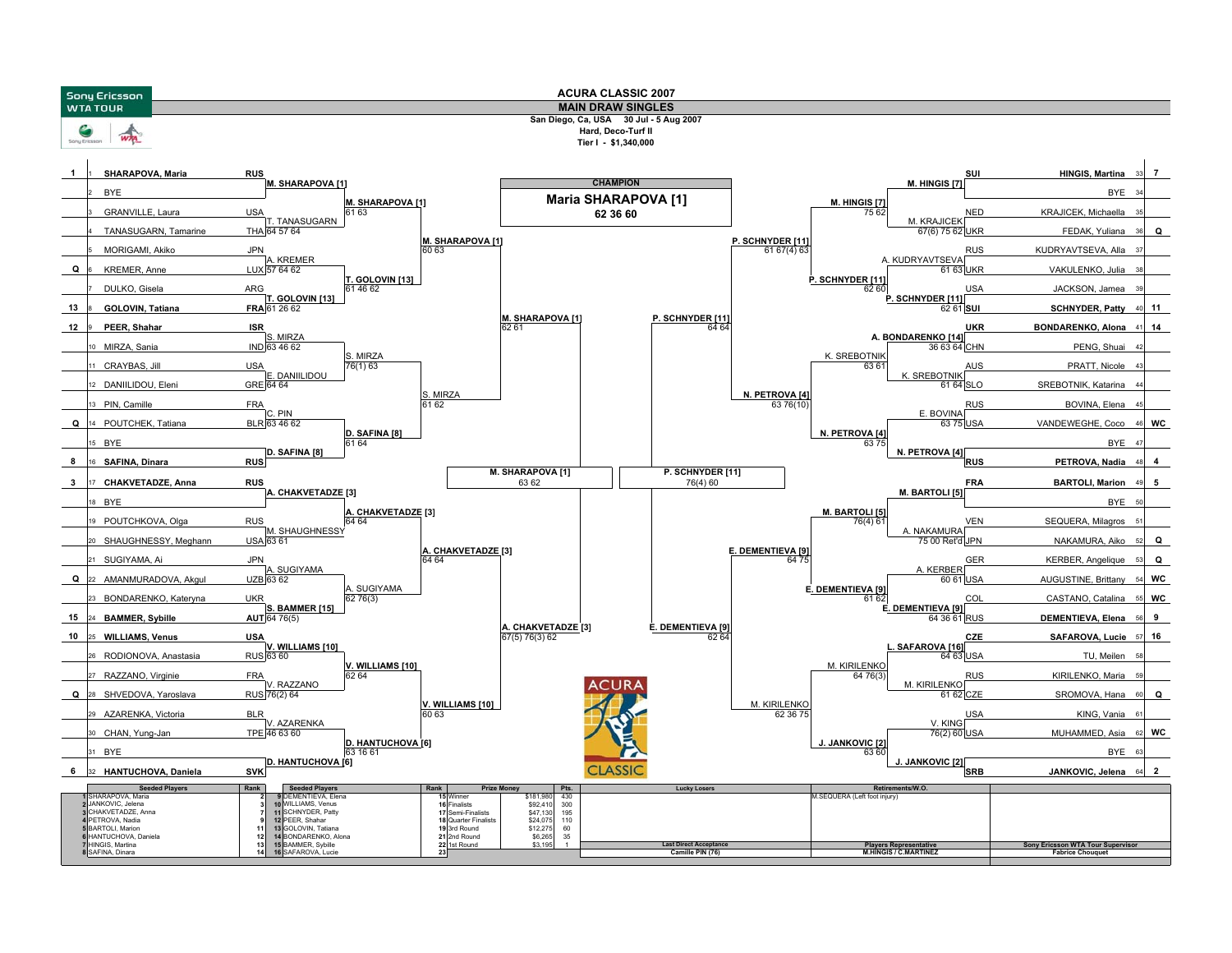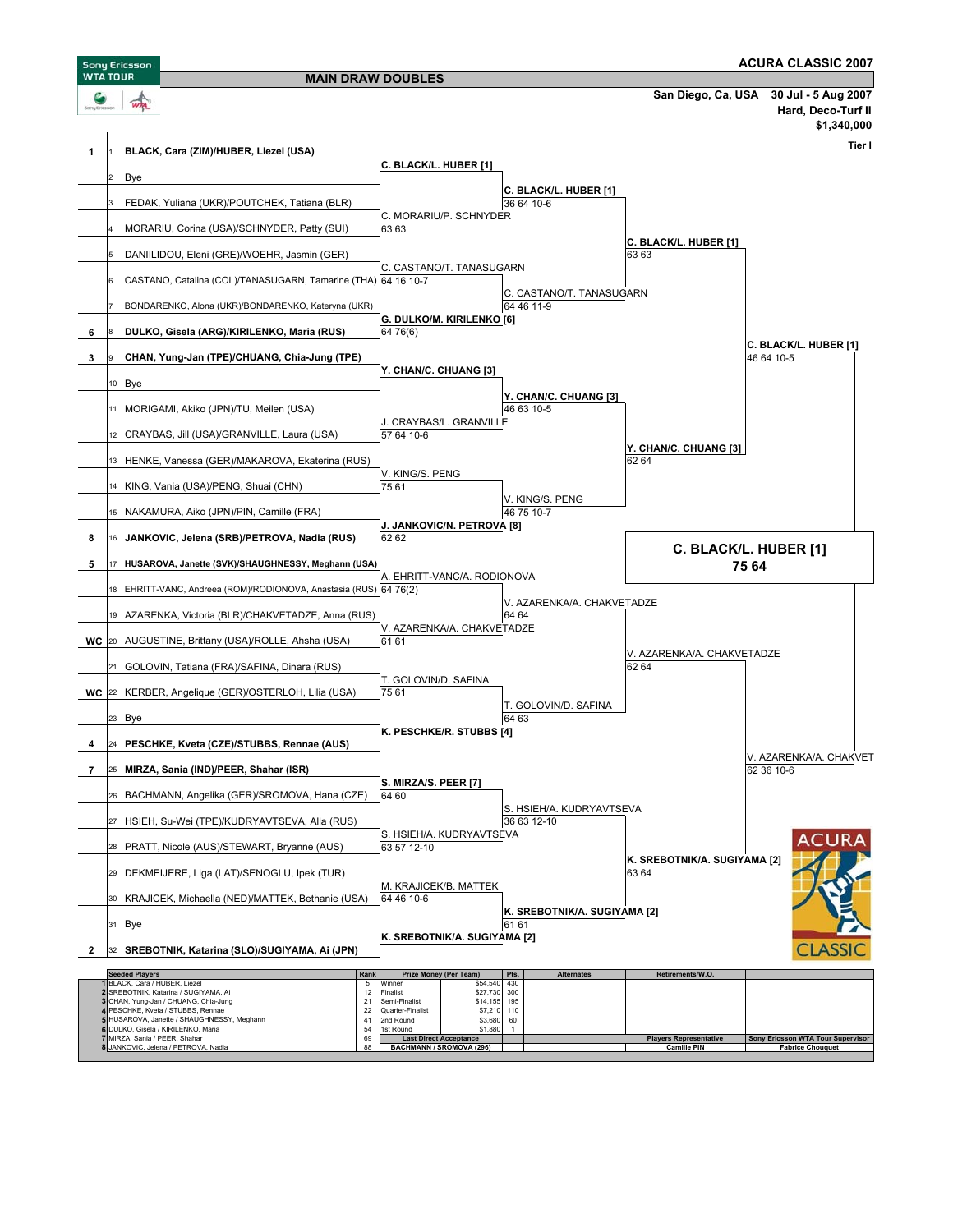